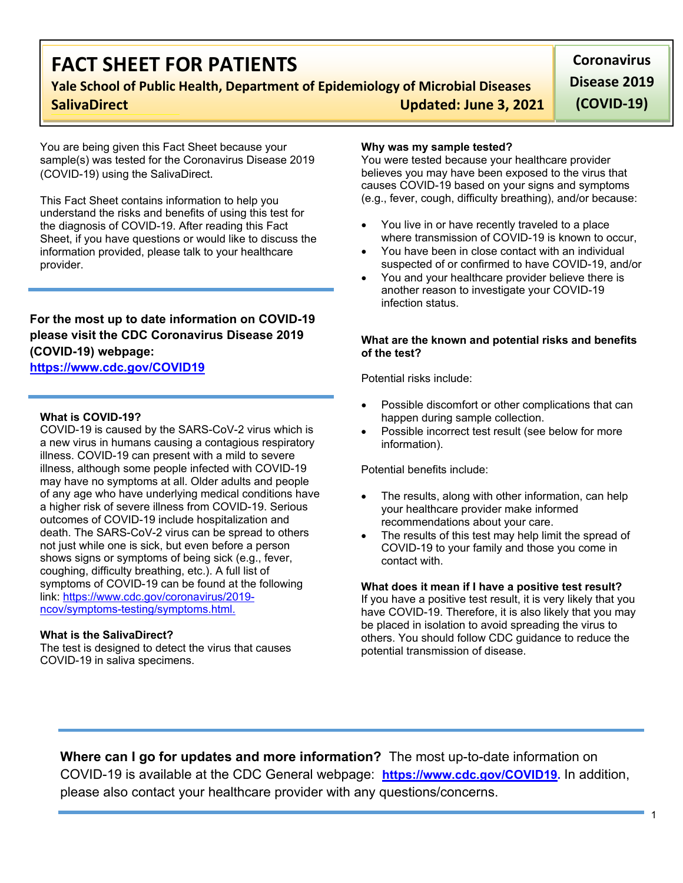# **FACT SHEET FOR PATIENTS**

## **Yale School of Public Health, Department of Epidemiology of Microbial Diseases SalivaDirect Updated: June 3, 2021**

**Coronavirus Disease 2019 (COVID-19)**

You are being given this Fact Sheet because your sample(s) was tested for the Coronavirus Disease 2019 (COVID-19) using the SalivaDirect.

This Fact Sheet contains information to help you understand the risks and benefits of using this test for the diagnosis of COVID-19. After reading this Fact Sheet, if you have questions or would like to discuss the information provided, please talk to your healthcare provider.

## **For the most up to date information on COVID-19 please visit the CDC Coronavirus Disease 2019 (COVID-19) webpage:**

## **[https://www.cdc.gov/COVID19](https://www.cdc.gov/nCoV)**

### **What is COVID-19?**

COVID-19 is caused by the SARS-CoV-2 virus which is a new virus in humans causing a contagious respiratory illness. COVID-19 can present with a mild to severe illness, although some people infected with COVID-19 may have no symptoms at all. Older adults and people of any age who have underlying medical conditions have a higher risk of severe illness from COVID-19. Serious outcomes of COVID-19 include hospitalization and death. The SARS-CoV-2 virus can be spread to others not just while one is sick, but even before a person shows signs or symptoms of being sick (e.g., fever, coughing, difficulty breathing, etc.). A full list of symptoms of COVID-19 can be found at the following link: [https://www.cdc.gov/coronavirus/2019](https://www.cdc.gov/coronavirus/2019-ncov/symptoms-testing/symptoms.html) [ncov/symptoms-testing/symptoms.html.](https://www.cdc.gov/coronavirus/2019-ncov/symptoms-testing/symptoms.html)

### **What is the SalivaDirect?**

The test is designed to detect the virus that causes COVID-19 in saliva specimens.

#### **Why was my sample tested?**

You were tested because your healthcare provider believes you may have been exposed to the virus that causes COVID-19 based on your signs and symptoms (e.g., fever, cough, difficulty breathing), and/or because:

- You live in or have recently traveled to a place where transmission of COVID-19 is known to occur.
- You have been in close contact with an individual suspected of or confirmed to have COVID-19, and/or
- You and your healthcare provider believe there is another reason to investigate your COVID-19 infection status.

#### **What are the known and potential risks and benefits of the test?**

Potential risks include:

- Possible discomfort or other complications that can happen during sample collection.
- Possible incorrect test result (see below for more information).

Potential benefits include:

- The results, along with other information, can help your healthcare provider make informed recommendations about your care.
- The results of this test may help limit the spread of COVID-19 to your family and those you come in contact with.

#### **What does it mean if I have a positive test result?**

If you have a positive test result, it is very likely that you have COVID-19. Therefore, it is also likely that you may be placed in isolation to avoid spreading the virus to others. You should follow CDC guidance to reduce the potential transmission of disease.

**Where can I go for updates and more information?** The most up-to-date information on COVID-19 is available at the CDC General webpage: **[https://www.cdc.gov/COVID19.](https://www.cdc.gov/nCoV)** In addition, please also contact your healthcare provider with any questions/concerns.